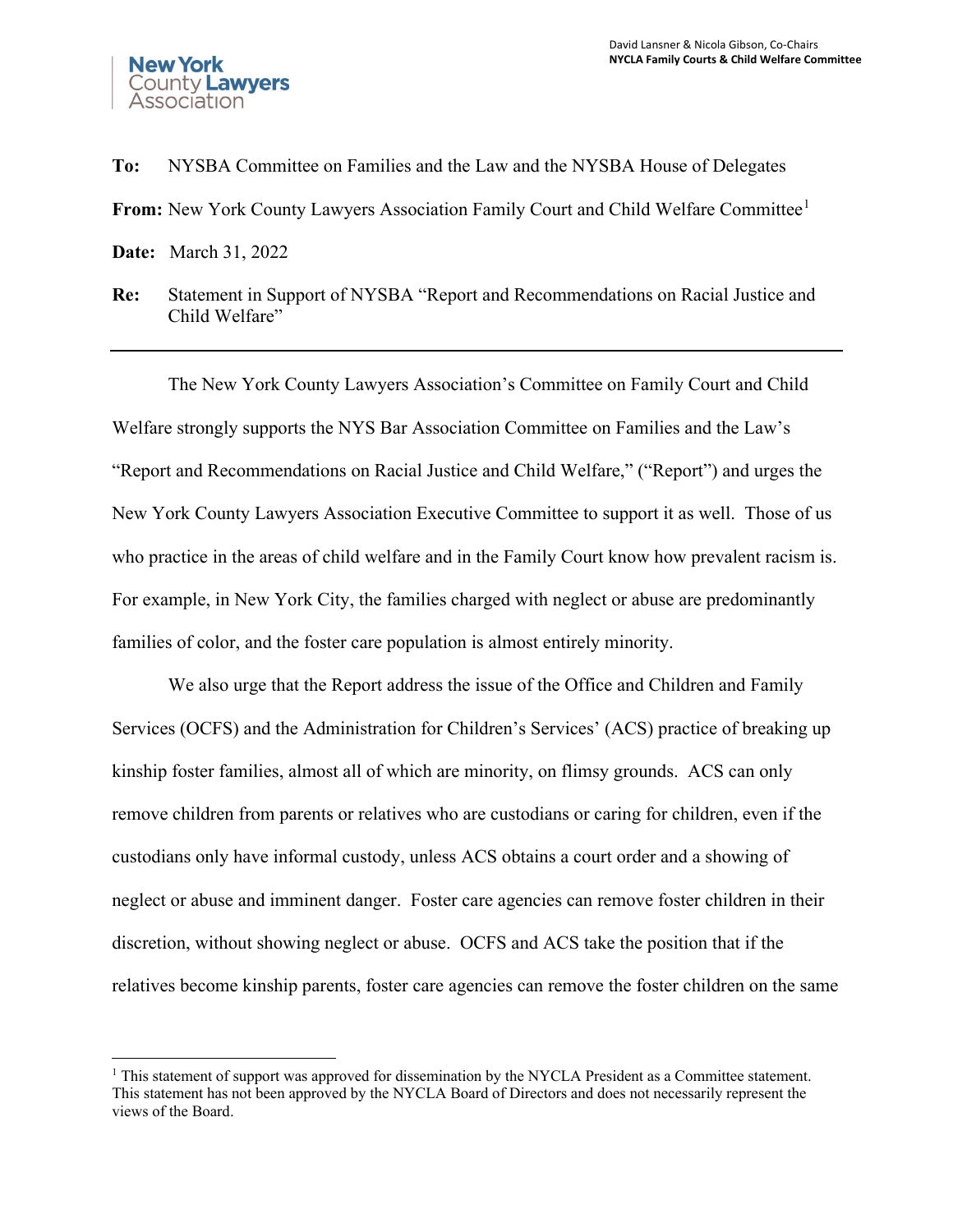

**To:** NYSBA Committee on Families and the Law and the NYSBA House of Delegates **From:** New York County Lawyers Association Family Court and Child Welfare Committee<sup>[1](#page-0-0)</sup> **Date:** March 31, 2022

**Re:** Statement in Support of NYSBA "Report and Recommendations on Racial Justice and Child Welfare"

The New York County Lawyers Association's Committee on Family Court and Child Welfare strongly supports the NYS Bar Association Committee on Families and the Law's "Report and Recommendations on Racial Justice and Child Welfare," ("Report") and urges the New York County Lawyers Association Executive Committee to support it as well. Those of us who practice in the areas of child welfare and in the Family Court know how prevalent racism is. For example, in New York City, the families charged with neglect or abuse are predominantly families of color, and the foster care population is almost entirely minority.

 We also urge that the Report address the issue of the Office and Children and Family Services (OCFS) and the Administration for Children's Services' (ACS) practice of breaking up kinship foster families, almost all of which are minority, on flimsy grounds. ACS can only remove children from parents or relatives who are custodians or caring for children, even if the custodians only have informal custody, unless ACS obtains a court order and a showing of neglect or abuse and imminent danger. Foster care agencies can remove foster children in their discretion, without showing neglect or abuse. OCFS and ACS take the position that if the relatives become kinship parents, foster care agencies can remove the foster children on the same

<span id="page-0-0"></span> $1$  This statement of support was approved for dissemination by the NYCLA President as a Committee statement. This statement has not been approved by the NYCLA Board of Directors and does not necessarily represent the views of the Board.